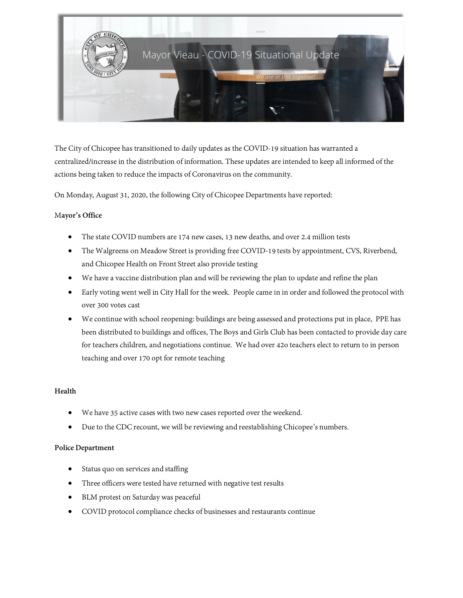

The City of Chicopee has transitioned to daily updates as the COVID-19 situation has warranted a centralized/increase in the distribution of information. These updates are intended to keep all informed of the actions being taken to reduce the impacts of Coronavirus on the community.

On Monday, August 31, 2020, the following City of Chicopee Departments havereported:

# M**ayor's Office**

- The state COVID numbers are 174 new cases, 13 new deaths, and over 2.4 million tests
- The Walgreens on Meadow Street is providing free COVID-19 tests by appointment, CVS, Riverbend, and Chicopee Health on Front Street also provide testing
- We have a vaccine distribution plan and will be reviewing the plan to update and refine the plan
- Early voting went well in City Hall for the week. People came in in order and followed the protocol with over 300 votes cast
- We continue with school reopening: buildings are being assessed and protections put in place, PPE has been distributed to buildings and offices, The Boys and Girls Club has been contacted to provide day care for teachers children, and negotiations continue. We had over 42o teachers elect to return to in person teaching and over 170 opt for remote teaching

# **Health**

- We have 35 active cases with two new cases reported over the weekend.
- Due to the CDC recount, we will be reviewing and reestablishing Chicopee's numbers.

#### **Police Department**

- Status quo on services and staffing
- Three officers were tested have returned with negative test results
- BLM protest on Saturday was peaceful
- COVID protocol compliance checks of businesses and restaurants continue